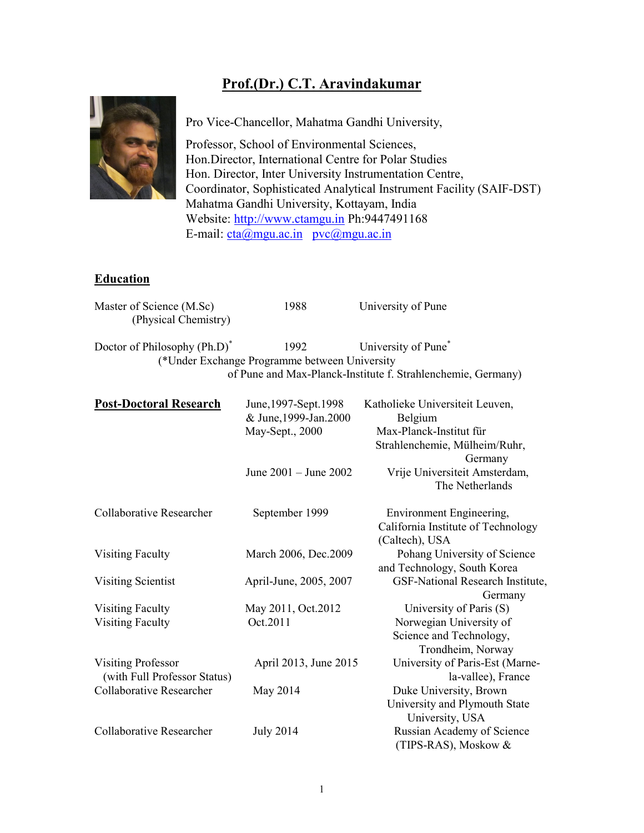## Prof.(Dr.) C.T. Aravindakumar



Pro Vice-Chancellor, Mahatma Gandhi University,

Professor, School of Environmental Sciences, Hon.Director, International Centre for Polar Studies Hon. Director, Inter University Instrumentation Centre, Coordinator, Sophisticated Analytical Instrument Facility (SAIF-DST) Mahatma Gandhi University, Kottayam, India Website: http://www.ctamgu.in Ph:9447491168 E-mail:  $cta@mgu.ac.in vcc@mgu.ac.in$ </u>

## Education

| Master of Science (M.Sc)<br>(Physical Chemistry)          | 1988                                                                                        | University of Pune                                                                                                                                 |
|-----------------------------------------------------------|---------------------------------------------------------------------------------------------|----------------------------------------------------------------------------------------------------------------------------------------------------|
| Doctor of Philosophy (Ph.D) <sup>*</sup>                  | 1992<br>(*Under Exchange Programme between University                                       | University of Pune <sup>*</sup><br>of Pune and Max-Planck-Institute f. Strahlenchemie, Germany)                                                    |
| <b>Post-Doctoral Research</b>                             | June, 1997-Sept. 1998<br>& June, 1999-Jan. 2000<br>May-Sept., 2000<br>June 2001 - June 2002 | Katholieke Universiteit Leuven,<br>Belgium<br>Max-Planck-Institut für<br>Strahlenchemie, Mülheim/Ruhr,<br>Germany<br>Vrije Universiteit Amsterdam, |
|                                                           |                                                                                             | The Netherlands                                                                                                                                    |
| Collaborative Researcher                                  | September 1999                                                                              | <b>Environment Engineering,</b><br>California Institute of Technology<br>(Caltech), USA                                                            |
| <b>Visiting Faculty</b>                                   | March 2006, Dec.2009                                                                        | Pohang University of Science<br>and Technology, South Korea                                                                                        |
| <b>Visiting Scientist</b>                                 | April-June, 2005, 2007                                                                      | GSF-National Research Institute,<br>Germany                                                                                                        |
| <b>Visiting Faculty</b><br><b>Visiting Faculty</b>        | May 2011, Oct.2012<br>Oct.2011                                                              | University of Paris (S)<br>Norwegian University of<br>Science and Technology,<br>Trondheim, Norway                                                 |
| <b>Visiting Professor</b><br>(with Full Professor Status) | April 2013, June 2015                                                                       | University of Paris-Est (Marne-<br>la-vallee), France                                                                                              |
| Collaborative Researcher                                  | May 2014                                                                                    | Duke University, Brown<br>University and Plymouth State<br>University, USA                                                                         |
| <b>Collaborative Researcher</b>                           | <b>July 2014</b>                                                                            | Russian Academy of Science<br>(TIPS-RAS), Moskow &                                                                                                 |